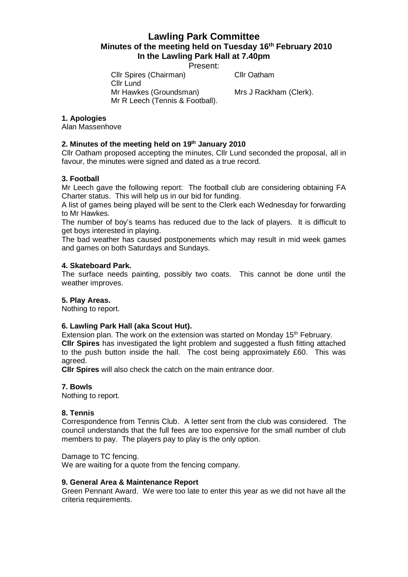# **Lawling Park Committee Minutes of the meeting held on Tuesday 16th February 2010 In the Lawling Park Hall at 7.40pm**

Present:

Cllr Spires (Chairman) Cllr Oatham

Cllr Lund Mr Hawkes (Groundsman) Mrs J Rackham (Clerk). Mr R Leech (Tennis & Football).

# **1. Apologies**

Alan Massenhove

# **2. Minutes of the meeting held on 19 th January 2010**

Cllr Oatham proposed accepting the minutes, Cllr Lund seconded the proposal, all in favour, the minutes were signed and dated as a true record.

## **3. Football**

Mr Leech gave the following report: The football club are considering obtaining FA Charter status. This will help us in our bid for funding.

A list of games being played will be sent to the Clerk each Wednesday for forwarding to Mr Hawkes.

The number of boy's teams has reduced due to the lack of players. It is difficult to get boys interested in playing.

The bad weather has caused postponements which may result in mid week games and games on both Saturdays and Sundays.

#### **4. Skateboard Park.**

The surface needs painting, possibly two coats. This cannot be done until the weather improves.

#### **5. Play Areas.**

Nothing to report.

## **6. Lawling Park Hall (aka Scout Hut).**

Extension plan. The work on the extension was started on Monday 15<sup>th</sup> February. **Cllr Spires** has investigated the light problem and suggested a flush fitting attached to the push button inside the hall. The cost being approximately £60. This was agreed.

**Cllr Spires** will also check the catch on the main entrance door.

### **7. Bowls**

Nothing to report.

#### **8. Tennis**

Correspondence from Tennis Club. A letter sent from the club was considered. The council understands that the full fees are too expensive for the small number of club members to pay. The players pay to play is the only option.

#### Damage to TC fencing.

We are waiting for a quote from the fencing company.

#### **9. General Area & Maintenance Report**

Green Pennant Award. We were too late to enter this year as we did not have all the criteria requirements.